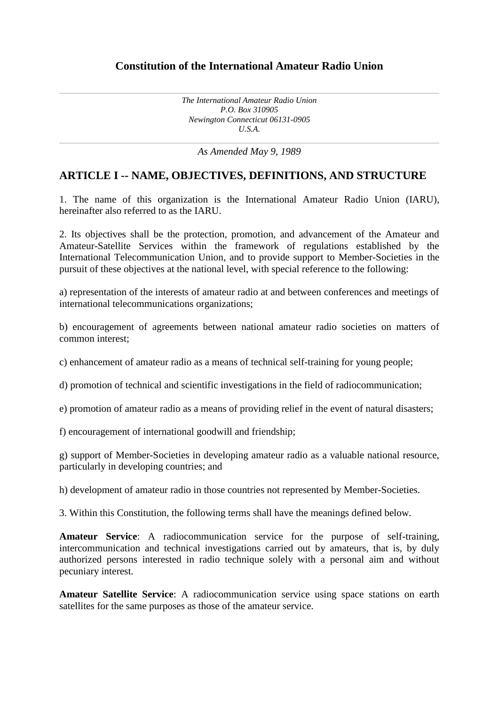### **Constitution of the International Amateur Radio Union**

*The International Amateur Radio Union P.O. Box 310905 Newington Connecticut 06131-0905 U.S.A.*

*As Amended May 9, 1989*

### **ARTICLE I -- NAME, OBJECTIVES, DEFINITIONS, AND STRUCTURE**

1. The name of this organization is the International Amateur Radio Union (IARU), hereinafter also referred to as the IARU.

2. Its objectives shall be the protection, promotion, and advancement of the Amateur and Amateur-Satellite Services within the framework of regulations established by the International Telecommunication Union, and to provide support to Member-Societies in the pursuit of these objectives at the national level, with special reference to the following:

a) representation of the interests of amateur radio at and between conferences and meetings of international telecommunications organizations;

b) encouragement of agreements between national amateur radio societies on matters of common interest;

c) enhancement of amateur radio as a means of technical self-training for young people;

d) promotion of technical and scientific investigations in the field of radiocommunication;

e) promotion of amateur radio as a means of providing relief in the event of natural disasters;

f) encouragement of international goodwill and friendship;

g) support of Member-Societies in developing amateur radio as a valuable national resource, particularly in developing countries; and

h) development of amateur radio in those countries not represented by Member-Societies.

3. Within this Constitution, the following terms shall have the meanings defined below.

**Amateur Service**: A radiocommunication service for the purpose of self-training, intercommunication and technical investigations carried out by amateurs, that is, by duly authorized persons interested in radio technique solely with a personal aim and without pecuniary interest.

**Amateur Satellite Service**: A radiocommunication service using space stations on earth satellites for the same purposes as those of the amateur service.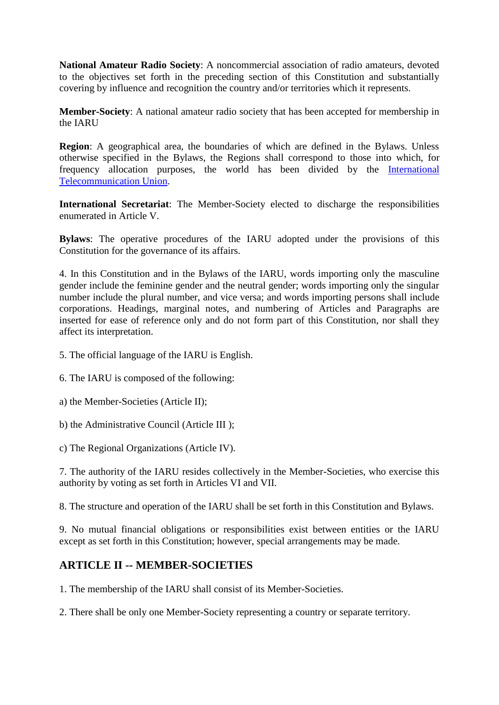**National Amateur Radio Society**: A noncommercial association of radio amateurs, devoted to the objectives set forth in the preceding section of this Constitution and substantially covering by influence and recognition the country and/or territories which it represents.

**Member-Society**: A national amateur radio society that has been accepted for membership in the IARU

**Region**: A geographical area, the boundaries of which are defined in the Bylaws. Unless otherwise specified in the Bylaws, the Regions shall correspond to those into which, for frequency allocation purposes, the world has been divided by the [International](http://www.itu.ch/)  [Telecommunication Union.](http://www.itu.ch/)

**International Secretariat**: The Member-Society elected to discharge the responsibilities enumerated in Article V.

**Bylaws**: The operative procedures of the IARU adopted under the provisions of this Constitution for the governance of its affairs.

4. In this Constitution and in the Bylaws of the IARU, words importing only the masculine gender include the feminine gender and the neutral gender; words importing only the singular number include the plural number, and vice versa; and words importing persons shall include corporations. Headings, marginal notes, and numbering of Articles and Paragraphs are inserted for ease of reference only and do not form part of this Constitution, nor shall they affect its interpretation.

- 5. The official language of the IARU is English.
- 6. The IARU is composed of the following:
- a) the Member-Societies (Article II);
- b) the Administrative Council (Article III );
- c) The Regional Organizations (Article IV).

7. The authority of the IARU resides collectively in the Member-Societies, who exercise this authority by voting as set forth in Articles VI and VII.

8. The structure and operation of the IARU shall be set forth in this Constitution and Bylaws.

9. No mutual financial obligations or responsibilities exist between entities or the IARU except as set forth in this Constitution; however, special arrangements may be made.

### **ARTICLE II -- MEMBER-SOCIETIES**

1. The membership of the IARU shall consist of its Member-Societies.

2. There shall be only one Member-Society representing a country or separate territory.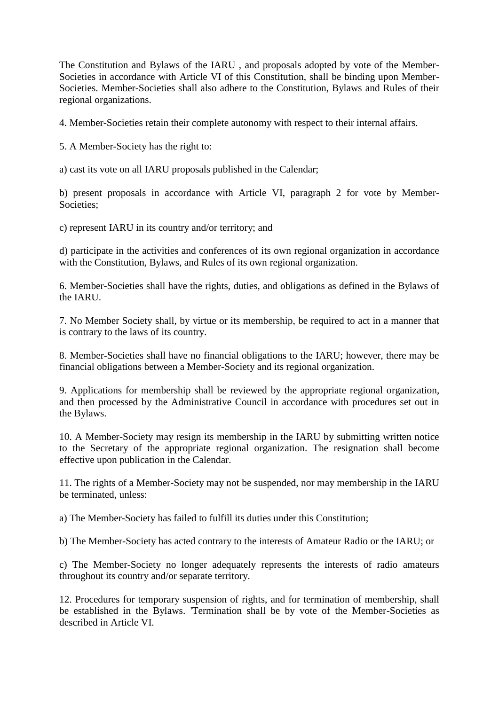The Constitution and Bylaws of the IARU , and proposals adopted by vote of the Member-Societies in accordance with Article VI of this Constitution, shall be binding upon Member-Societies. Member-Societies shall also adhere to the Constitution, Bylaws and Rules of their regional organizations.

4. Member-Societies retain their complete autonomy with respect to their internal affairs.

5. A Member-Society has the right to:

a) cast its vote on all IARU proposals published in the Calendar;

b) present proposals in accordance with Article VI, paragraph 2 for vote by Member-Societies;

c) represent IARU in its country and/or territory; and

d) participate in the activities and conferences of its own regional organization in accordance with the Constitution, Bylaws, and Rules of its own regional organization.

6. Member-Societies shall have the rights, duties, and obligations as defined in the Bylaws of the IARU.

7. No Member Society shall, by virtue or its membership, be required to act in a manner that is contrary to the laws of its country.

8. Member-Societies shall have no financial obligations to the IARU; however, there may be financial obligations between a Member-Society and its regional organization.

9. Applications for membership shall be reviewed by the appropriate regional organization, and then processed by the Administrative Council in accordance with procedures set out in the Bylaws.

10. A Member-Society may resign its membership in the IARU by submitting written notice to the Secretary of the appropriate regional organization. The resignation shall become effective upon publication in the Calendar.

11. The rights of a Member-Society may not be suspended, nor may membership in the IARU be terminated, unless:

a) The Member-Society has failed to fulfill its duties under this Constitution;

b) The Member-Society has acted contrary to the interests of Amateur Radio or the IARU; or

c) The Member-Society no longer adequately represents the interests of radio amateurs throughout its country and/or separate territory.

12. Procedures for temporary suspension of rights, and for termination of membership, shall be established in the Bylaws. 'Termination shall be by vote of the Member-Societies as described in Article VI.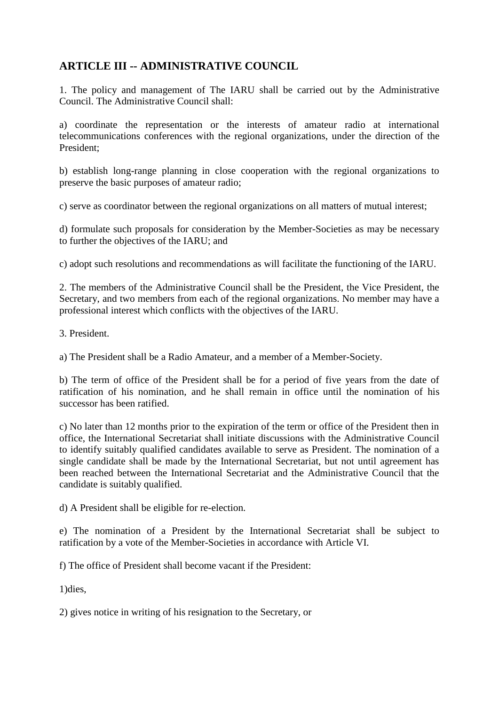# **ARTICLE III -- ADMINISTRATIVE COUNCIL**

1. The policy and management of The IARU shall be carried out by the Administrative Council. The Administrative Council shall:

a) coordinate the representation or the interests of amateur radio at international telecommunications conferences with the regional organizations, under the direction of the President;

b) establish long-range planning in close cooperation with the regional organizations to preserve the basic purposes of amateur radio;

c) serve as coordinator between the regional organizations on all matters of mutual interest;

d) formulate such proposals for consideration by the Member-Societies as may be necessary to further the objectives of the IARU; and

c) adopt such resolutions and recommendations as will facilitate the functioning of the IARU.

2. The members of the Administrative Council shall be the President, the Vice President, the Secretary, and two members from each of the regional organizations. No member may have a professional interest which conflicts with the objectives of the IARU.

3. President.

a) The President shall be a Radio Amateur, and a member of a Member-Society.

b) The term of office of the President shall be for a period of five years from the date of ratification of his nomination, and he shall remain in office until the nomination of his successor has been ratified.

c) No later than 12 months prior to the expiration of the term or office of the President then in office, the International Secretariat shall initiate discussions with the Administrative Council to identify suitably qualified candidates available to serve as President. The nomination of a single candidate shall be made by the International Secretariat, but not until agreement has been reached between the International Secretariat and the Administrative Council that the candidate is suitably qualified.

d) A President shall be eligible for re-election.

e) The nomination of a President by the International Secretariat shall be subject to ratification by a vote of the Member-Societies in accordance with Article VI.

f) The office of President shall become vacant if the President:

1)dies,

2) gives notice in writing of his resignation to the Secretary, or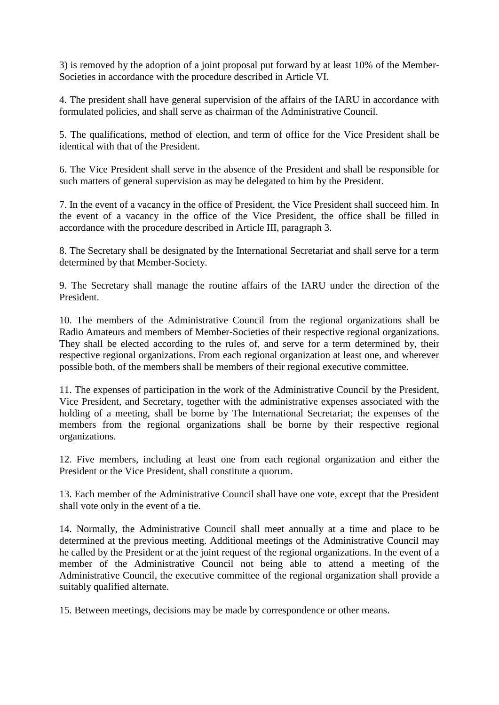3) is removed by the adoption of a joint proposal put forward by at least 10% of the Member-Societies in accordance with the procedure described in Article VI.

4. The president shall have general supervision of the affairs of the IARU in accordance with formulated policies, and shall serve as chairman of the Administrative Council.

5. The qualifications, method of election, and term of office for the Vice President shall be identical with that of the President.

6. The Vice President shall serve in the absence of the President and shall be responsible for such matters of general supervision as may be delegated to him by the President.

7. In the event of a vacancy in the office of President, the Vice President shall succeed him. In the event of a vacancy in the office of the Vice President, the office shall be filled in accordance with the procedure described in Article III, paragraph 3.

8. The Secretary shall be designated by the International Secretariat and shall serve for a term determined by that Member-Society.

9. The Secretary shall manage the routine affairs of the IARU under the direction of the President.

10. The members of the Administrative Council from the regional organizations shall be Radio Amateurs and members of Member-Societies of their respective regional organizations. They shall be elected according to the rules of, and serve for a term determined by, their respective regional organizations. From each regional organization at least one, and wherever possible both, of the members shall be members of their regional executive committee.

11. The expenses of participation in the work of the Administrative Council by the President, Vice President, and Secretary, together with the administrative expenses associated with the holding of a meeting, shall be borne by The International Secretariat; the expenses of the members from the regional organizations shall be borne by their respective regional organizations.

12. Five members, including at least one from each regional organization and either the President or the Vice President, shall constitute a quorum.

13. Each member of the Administrative Council shall have one vote, except that the President shall vote only in the event of a tie.

14. Normally, the Administrative Council shall meet annually at a time and place to be determined at the previous meeting. Additional meetings of the Administrative Council may he called by the President or at the joint request of the regional organizations. In the event of a member of the Administrative Council not being able to attend a meeting of the Administrative Council, the executive committee of the regional organization shall provide a suitably qualified alternate.

15. Between meetings, decisions may be made by correspondence or other means.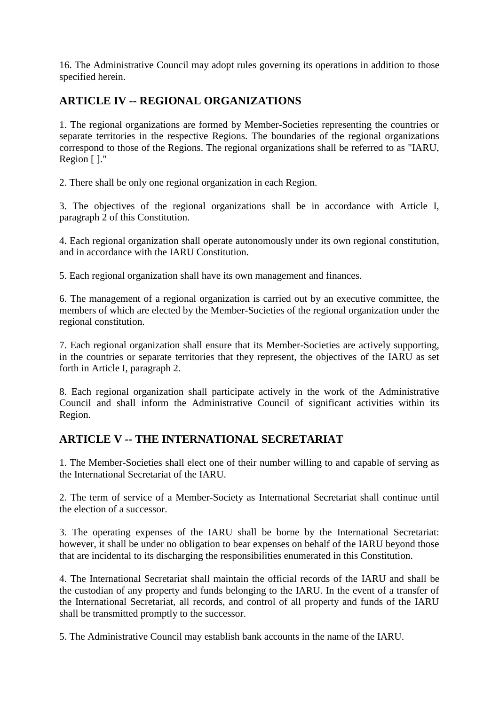16. The Administrative Council may adopt rules governing its operations in addition to those specified herein.

# **ARTICLE IV -- REGIONAL ORGANIZATIONS**

1. The regional organizations are formed by Member-Societies representing the countries or separate territories in the respective Regions. The boundaries of the regional organizations correspond to those of the Regions. The regional organizations shall be referred to as "IARU, Region [ ]."

2. There shall be only one regional organization in each Region.

3. The objectives of the regional organizations shall be in accordance with Article I, paragraph 2 of this Constitution.

4. Each regional organization shall operate autonomously under its own regional constitution, and in accordance with the IARU Constitution.

5. Each regional organization shall have its own management and finances.

6. The management of a regional organization is carried out by an executive committee, the members of which are elected by the Member-Societies of the regional organization under the regional constitution.

7. Each regional organization shall ensure that its Member-Societies are actively supporting, in the countries or separate territories that they represent, the objectives of the IARU as set forth in Article I, paragraph 2.

8. Each regional organization shall participate actively in the work of the Administrative Council and shall inform the Administrative Council of significant activities within its Region.

## **ARTICLE V -- THE INTERNATIONAL SECRETARIAT**

1. The Member-Societies shall elect one of their number willing to and capable of serving as the International Secretariat of the IARU.

2. The term of service of a Member-Society as International Secretariat shall continue until the election of a successor.

3. The operating expenses of the IARU shall be borne by the International Secretariat: however, it shall be under no obligation to bear expenses on behalf of the IARU beyond those that are incidental to its discharging the responsibilities enumerated in this Constitution.

4. The International Secretariat shall maintain the official records of the IARU and shall be the custodian of any property and funds belonging to the IARU. In the event of a transfer of the International Secretariat, all records, and control of all property and funds of the IARU shall be transmitted promptly to the successor.

5. The Administrative Council may establish bank accounts in the name of the IARU.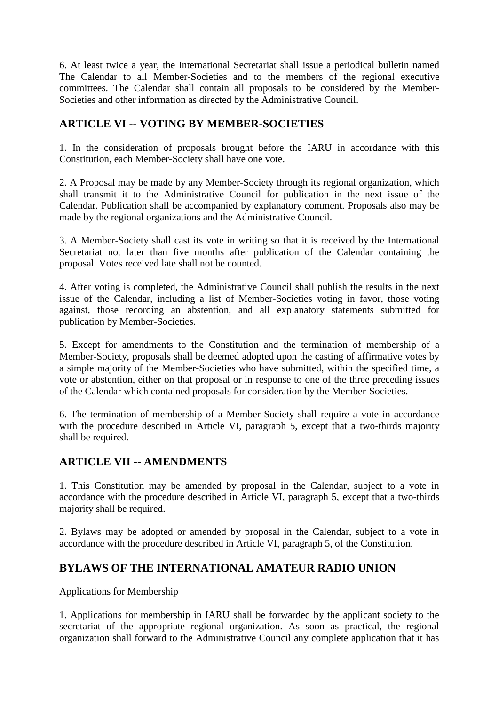6. At least twice a year, the International Secretariat shall issue a periodical bulletin named The Calendar to all Member-Societies and to the members of the regional executive committees. The Calendar shall contain all proposals to be considered by the Member-Societies and other information as directed by the Administrative Council.

## **ARTICLE VI -- VOTING BY MEMBER-SOCIETIES**

1. In the consideration of proposals brought before the IARU in accordance with this Constitution, each Member-Society shall have one vote.

2. A Proposal may be made by any Member-Society through its regional organization, which shall transmit it to the Administrative Council for publication in the next issue of the Calendar. Publication shall be accompanied by explanatory comment. Proposals also may be made by the regional organizations and the Administrative Council.

3. A Member-Society shall cast its vote in writing so that it is received by the International Secretariat not later than five months after publication of the Calendar containing the proposal. Votes received late shall not be counted.

4. After voting is completed, the Administrative Council shall publish the results in the next issue of the Calendar, including a list of Member-Societies voting in favor, those voting against, those recording an abstention, and all explanatory statements submitted for publication by Member-Societies.

5. Except for amendments to the Constitution and the termination of membership of a Member-Society, proposals shall be deemed adopted upon the casting of affirmative votes by a simple majority of the Member-Societies who have submitted, within the specified time, a vote or abstention, either on that proposal or in response to one of the three preceding issues of the Calendar which contained proposals for consideration by the Member-Societies.

6. The termination of membership of a Member-Society shall require a vote in accordance with the procedure described in Article VI, paragraph 5, except that a two-thirds majority shall be required.

## **ARTICLE VII -- AMENDMENTS**

1. This Constitution may be amended by proposal in the Calendar, subject to a vote in accordance with the procedure described in Article VI, paragraph 5, except that a two-thirds majority shall be required.

2. Bylaws may be adopted or amended by proposal in the Calendar, subject to a vote in accordance with the procedure described in Article VI, paragraph 5, of the Constitution.

## **BYLAWS OF THE INTERNATIONAL AMATEUR RADIO UNION**

### Applications for Membership

1. Applications for membership in IARU shall be forwarded by the applicant society to the secretariat of the appropriate regional organization. As soon as practical, the regional organization shall forward to the Administrative Council any complete application that it has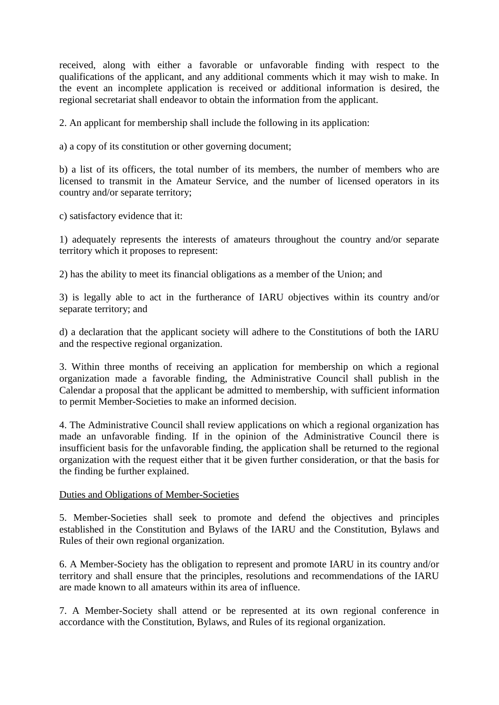received, along with either a favorable or unfavorable finding with respect to the qualifications of the applicant, and any additional comments which it may wish to make. In the event an incomplete application is received or additional information is desired, the regional secretariat shall endeavor to obtain the information from the applicant.

2. An applicant for membership shall include the following in its application:

a) a copy of its constitution or other governing document;

b) a list of its officers, the total number of its members, the number of members who are licensed to transmit in the Amateur Service, and the number of licensed operators in its country and/or separate territory;

c) satisfactory evidence that it:

1) adequately represents the interests of amateurs throughout the country and/or separate territory which it proposes to represent:

2) has the ability to meet its financial obligations as a member of the Union; and

3) is legally able to act in the furtherance of IARU objectives within its country and/or separate territory; and

d) a declaration that the applicant society will adhere to the Constitutions of both the IARU and the respective regional organization.

3. Within three months of receiving an application for membership on which a regional organization made a favorable finding, the Administrative Council shall publish in the Calendar a proposal that the applicant be admitted to membership, with sufficient information to permit Member-Societies to make an informed decision.

4. The Administrative Council shall review applications on which a regional organization has made an unfavorable finding. If in the opinion of the Administrative Council there is insufficient basis for the unfavorable finding, the application shall be returned to the regional organization with the request either that it be given further consideration, or that the basis for the finding be further explained.

#### Duties and Obligations of Member-Societies

5. Member-Societies shall seek to promote and defend the objectives and principles established in the Constitution and Bylaws of the IARU and the Constitution, Bylaws and Rules of their own regional organization.

6. A Member-Society has the obligation to represent and promote IARU in its country and/or territory and shall ensure that the principles, resolutions and recommendations of the IARU are made known to all amateurs within its area of influence.

7. A Member-Society shall attend or be represented at its own regional conference in accordance with the Constitution, Bylaws, and Rules of its regional organization.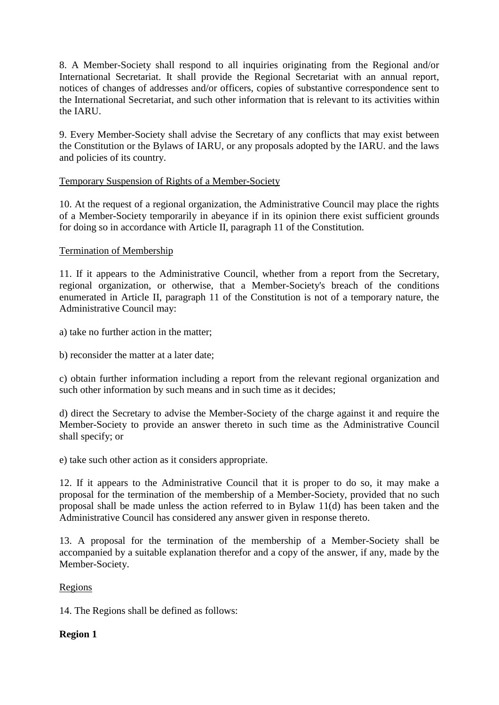8. A Member-Society shall respond to all inquiries originating from the Regional and/or International Secretariat. It shall provide the Regional Secretariat with an annual report, notices of changes of addresses and/or officers, copies of substantive correspondence sent to the International Secretariat, and such other information that is relevant to its activities within the IARU.

9. Every Member-Society shall advise the Secretary of any conflicts that may exist between the Constitution or the Bylaws of IARU, or any proposals adopted by the IARU. and the laws and policies of its country.

#### Temporary Suspension of Rights of a Member-Society

10. At the request of a regional organization, the Administrative Council may place the rights of a Member-Society temporarily in abeyance if in its opinion there exist sufficient grounds for doing so in accordance with Article II, paragraph 11 of the Constitution.

#### Termination of Membership

11. If it appears to the Administrative Council, whether from a report from the Secretary, regional organization, or otherwise, that a Member-Society's breach of the conditions enumerated in Article II, paragraph 11 of the Constitution is not of a temporary nature, the Administrative Council may:

- a) take no further action in the matter;
- b) reconsider the matter at a later date;

c) obtain further information including a report from the relevant regional organization and such other information by such means and in such time as it decides;

d) direct the Secretary to advise the Member-Society of the charge against it and require the Member-Society to provide an answer thereto in such time as the Administrative Council shall specify; or

e) take such other action as it considers appropriate.

12. If it appears to the Administrative Council that it is proper to do so, it may make a proposal for the termination of the membership of a Member-Society, provided that no such proposal shall be made unless the action referred to in Bylaw 11(d) has been taken and the Administrative Council has considered any answer given in response thereto.

13. A proposal for the termination of the membership of a Member-Society shall be accompanied by a suitable explanation therefor and a copy of the answer, if any, made by the Member-Society.

#### Regions

14. The Regions shall be defined as follows:

### **Region 1**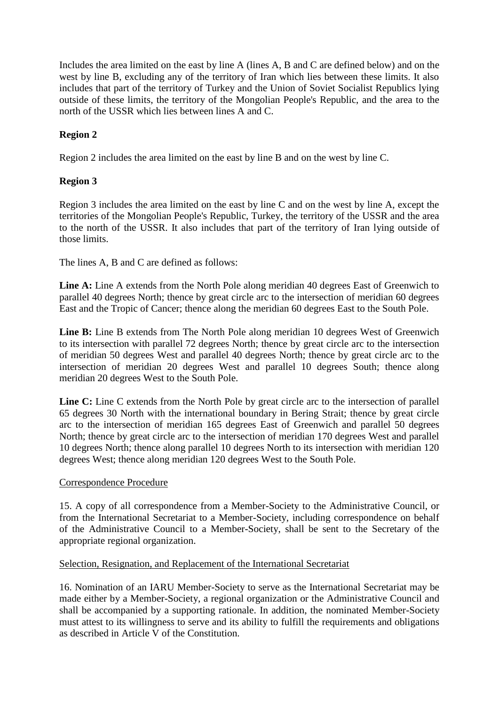Includes the area limited on the east by line A (lines A, B and C are defined below) and on the west by line B, excluding any of the territory of Iran which lies between these limits. It also includes that part of the territory of Turkey and the Union of Soviet Socialist Republics lying outside of these limits, the territory of the Mongolian People's Republic, and the area to the north of the USSR which lies between lines A and C.

### **Region 2**

Region 2 includes the area limited on the east by line B and on the west by line C.

### **Region 3**

Region 3 includes the area limited on the east by line C and on the west by line A, except the territories of the Mongolian People's Republic, Turkey, the territory of the USSR and the area to the north of the USSR. It also includes that part of the territory of Iran lying outside of those limits.

The lines A, B and C are defined as follows:

Line A: Line A extends from the North Pole along meridian 40 degrees East of Greenwich to parallel 40 degrees North; thence by great circle arc to the intersection of meridian 60 degrees East and the Tropic of Cancer; thence along the meridian 60 degrees East to the South Pole.

Line B: Line B extends from The North Pole along meridian 10 degrees West of Greenwich to its intersection with parallel 72 degrees North; thence by great circle arc to the intersection of meridian 50 degrees West and parallel 40 degrees North; thence by great circle arc to the intersection of meridian 20 degrees West and parallel 10 degrees South; thence along meridian 20 degrees West to the South Pole.

Line C: Line C extends from the North Pole by great circle arc to the intersection of parallel 65 degrees 30 North with the international boundary in Bering Strait; thence by great circle arc to the intersection of meridian 165 degrees East of Greenwich and parallel 50 degrees North; thence by great circle arc to the intersection of meridian 170 degrees West and parallel 10 degrees North; thence along parallel 10 degrees North to its intersection with meridian 120 degrees West; thence along meridian 120 degrees West to the South Pole.

### Correspondence Procedure

15. A copy of all correspondence from a Member-Society to the Administrative Council, or from the International Secretariat to a Member-Society, including correspondence on behalf of the Administrative Council to a Member-Society, shall be sent to the Secretary of the appropriate regional organization.

#### Selection, Resignation, and Replacement of the International Secretariat

16. Nomination of an IARU Member-Society to serve as the International Secretariat may be made either by a Member-Society, a regional organization or the Administrative Council and shall be accompanied by a supporting rationale. In addition, the nominated Member-Society must attest to its willingness to serve and its ability to fulfill the requirements and obligations as described in Article V of the Constitution.